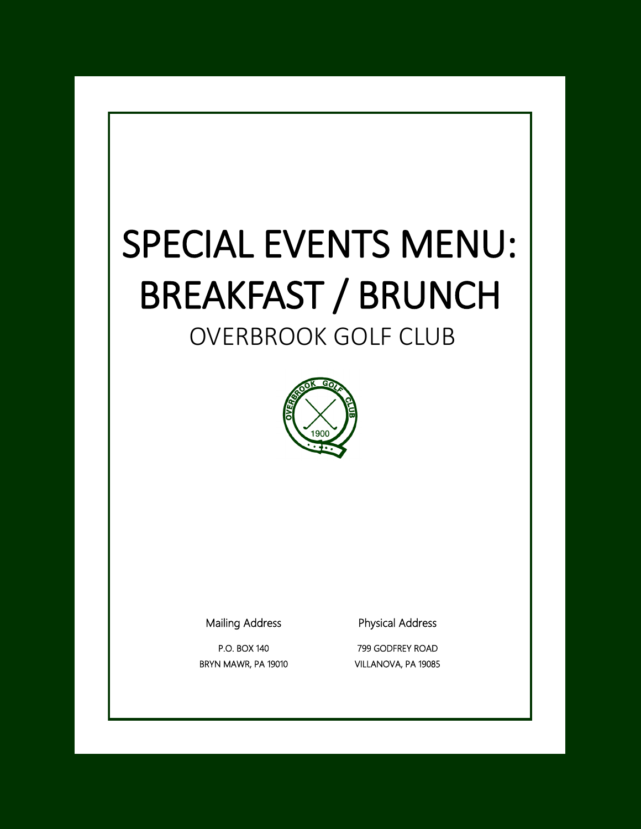# SPECIAL EVENTS MENU: BREAKFAST / BRUNCH

# OVERBROOK GOLF CLUB



Mailing Address

Physical Address

P.O. BOX 140 BRYN MAWR, PA 19010

799 GODFREY ROAD VILLANOVA, PA 19085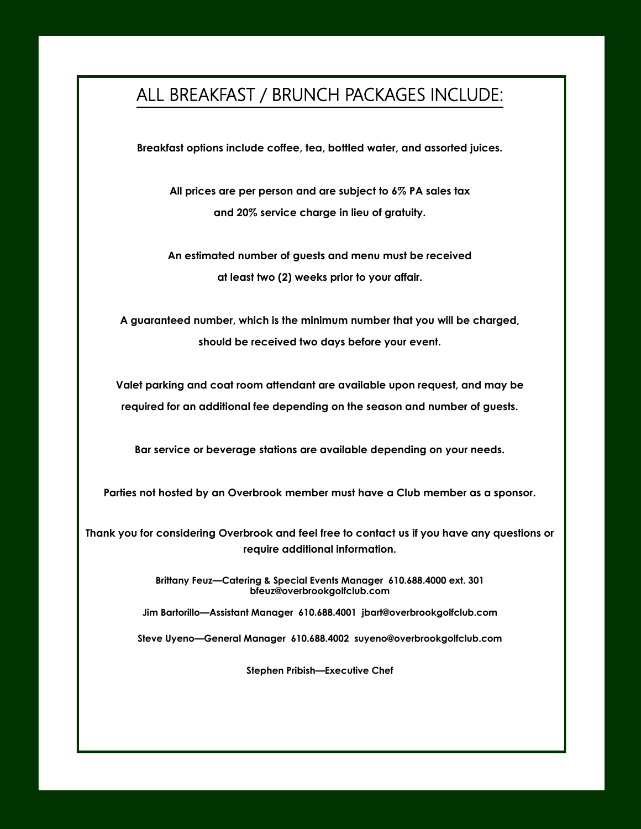## ALL BREAKFAST / BRUNCH PACKAGES INCLUDE:

**Breakfast options include coffee, tea, bottled water, and assorted juices.**

**All prices are per person and are subject to 6% PA sales tax and 20% service charge in lieu of gratuity.**

**An estimated number of guests and menu must be received at least two (2) weeks prior to your affair.**

**A guaranteed number, which is the minimum number that you will be charged, should be received two days before your event.**

**Valet parking and coat room attendant are available upon request, and may be required for an additional fee depending on the season and number of guests.**

**Bar service or beverage stations are available depending on your needs.**

**Parties not hosted by an Overbrook member must have a Club member as a sponsor.**

**Thank you for considering Overbrook and feel free to contact us if you have any questions or require additional information.**

> **Brittany Feuz—Catering & Special Events Manager 610.688.4000 ext. 301 bfeuz@overbrookgolfclub.com**

**Jim Bartorillo—Assistant Manager 610.688.4001 jbart@overbrookgolfclub.com**

**Steve Uyeno—General Manager 610.688.4002 suyeno@overbrookgolfclub.com**

**Stephen Pribish—Executive Chef**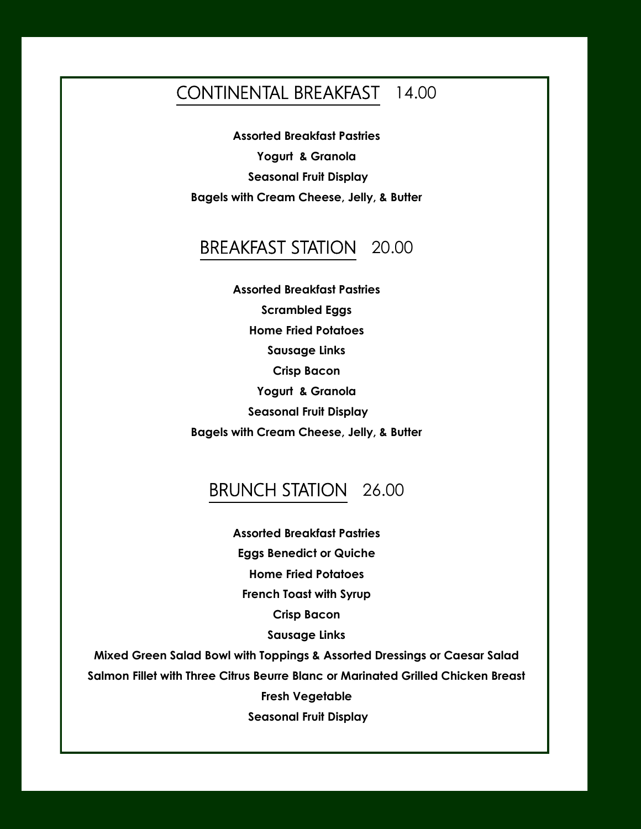### CONTINENTAL BREAKFAST 14.00

**Assorted Breakfast Pastries Yogurt & Granola Seasonal Fruit Display Bagels with Cream Cheese, Jelly, & Butter**

#### BREAKFAST STATION 20.00

**Assorted Breakfast Pastries Scrambled Eggs Home Fried Potatoes Sausage Links Crisp Bacon Yogurt & Granola Seasonal Fruit Display Bagels with Cream Cheese, Jelly, & Butter**

#### BRUNCH STATION 26.00

**Assorted Breakfast Pastries Eggs Benedict or Quiche Home Fried Potatoes French Toast with Syrup Crisp Bacon Sausage Links**

**Mixed Green Salad Bowl with Toppings & Assorted Dressings or Caesar Salad Salmon Fillet with Three Citrus Beurre Blanc or Marinated Grilled Chicken Breast Fresh Vegetable Seasonal Fruit Display**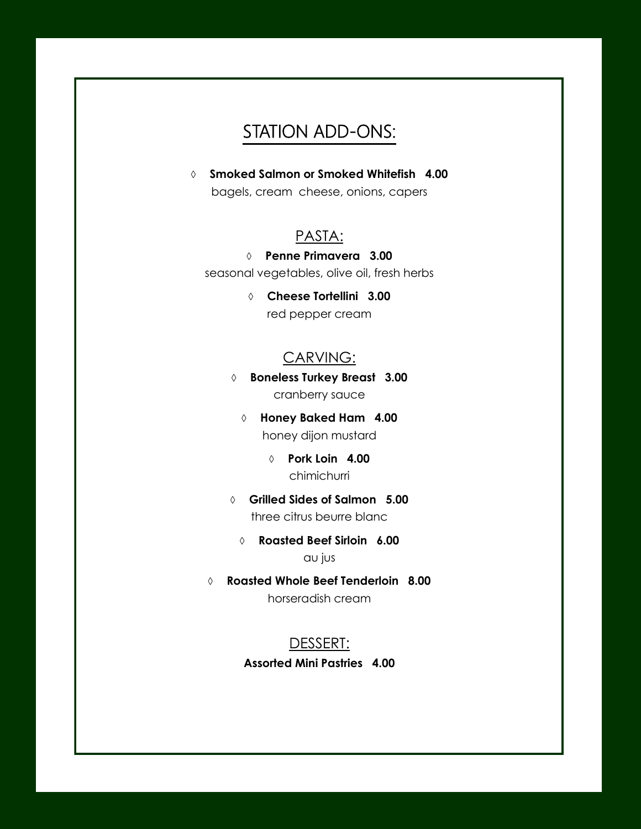# STATION ADD-ONS:

 **Smoked Salmon or Smoked Whitefish 4.00** bagels, cream cheese, onions, capers

#### PASTA:

#### **Penne Primavera 3.00**

seasonal vegetables, olive oil, fresh herbs

 **Cheese Tortellini 3.00** red pepper cream

#### CARVING:

 **Boneless Turkey Breast 3.00** cranberry sauce

 **Honey Baked Ham 4.00** honey dijon mustard

> **Pork Loin 4.00** chimichurri

 **Grilled Sides of Salmon 5.00** three citrus beurre blanc

 **Roasted Beef Sirloin 6.00** au jus

 **Roasted Whole Beef Tenderloin 8.00** horseradish cream

#### DESSERT:

**Assorted Mini Pastries 4.00**